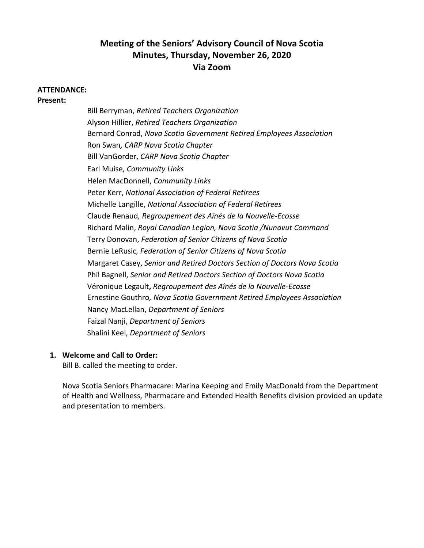# **Meeting of the Seniors' Advisory Council of Nova Scotia Minutes, Thursday, November 26, 2020 Via Zoom**

#### **ATTENDANCE:**

**Present:**

Bill Berryman, *Retired Teachers Organization* Alyson Hillier, *Retired Teachers Organization* Bernard Conrad, *Nova Scotia Government Retired Employees Association* Ron Swan*, CARP Nova Scotia Chapter* Bill VanGorder, *CARP Nova Scotia Chapter* Earl Muise, *Community Links* Helen MacDonnell, *Community Links* Peter Kerr, *National Association of Federal Retirees* Michelle Langille, *National Association of Federal Retirees*  Claude Renaud*, Regroupement des Aînés de la Nouvelle-Ecosse* Richard Malin, *Royal Canadian Legion, Nova Scotia /Nunavut Command* Terry Donovan, *Federation of Senior Citizens of Nova Scotia* Bernie LeRusic*, Federation of Senior Citizens of Nova Scotia* Margaret Casey, *Senior and Retired Doctors Section of Doctors Nova Scotia* Phil Bagnell, *Senior and Retired Doctors Section of Doctors Nova Scotia*  Véronique Legault**,** *Regroupement des Aînés de la Nouvelle-Ecosse* Ernestine Gouthro*, Nova Scotia Government Retired Employees Association* Nancy MacLellan, *Department of Seniors* Faizal Nanji, *Department of Seniors* Shalini Keel, *Department of Seniors*

# **1. Welcome and Call to Order:**

Bill B. called the meeting to order.

Nova Scotia Seniors Pharmacare: Marina Keeping and Emily MacDonald from the Department of Health and Wellness, Pharmacare and Extended Health Benefits division provided an update and presentation to members.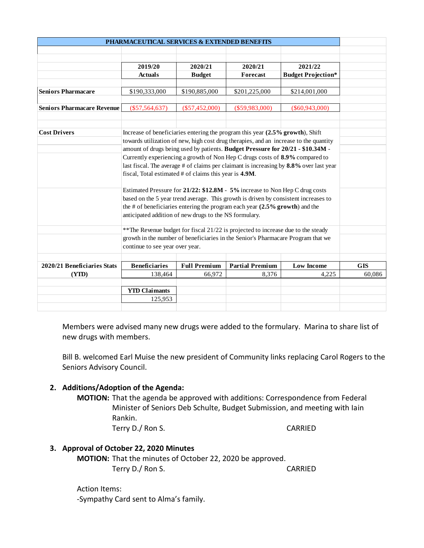| PHARMACEUTICAL SERVICES & EXTENDED BENEFITS                                                  |                                                                                                                                                                        |                     |                        |                                                                                                                                                                                            |            |
|----------------------------------------------------------------------------------------------|------------------------------------------------------------------------------------------------------------------------------------------------------------------------|---------------------|------------------------|--------------------------------------------------------------------------------------------------------------------------------------------------------------------------------------------|------------|
|                                                                                              |                                                                                                                                                                        |                     |                        |                                                                                                                                                                                            |            |
|                                                                                              | 2019/20                                                                                                                                                                | 2020/21             | 2020/21                | 2021/22                                                                                                                                                                                    |            |
|                                                                                              | <b>Actuals</b>                                                                                                                                                         | <b>Budget</b>       | Forecast               | <b>Budget Projection*</b>                                                                                                                                                                  |            |
|                                                                                              |                                                                                                                                                                        |                     |                        |                                                                                                                                                                                            |            |
| <b>Seniors Pharmacare</b>                                                                    | \$190,333,000                                                                                                                                                          | \$190,885,000       | \$201,225,000          | \$214,001,000                                                                                                                                                                              |            |
| <b>Seniors Pharmacare Revenue</b>                                                            | $(\$57,564,637)$                                                                                                                                                       | $(\$57,452,000)$    | $(\$59,983,000)$       | $(\$60,943,000)$                                                                                                                                                                           |            |
|                                                                                              |                                                                                                                                                                        |                     |                        |                                                                                                                                                                                            |            |
|                                                                                              |                                                                                                                                                                        |                     |                        |                                                                                                                                                                                            |            |
| <b>Cost Drivers</b>                                                                          | Increase of beneficiaries entering the program this year (2.5% growth), Shift                                                                                          |                     |                        |                                                                                                                                                                                            |            |
|                                                                                              | towards utilization of new, high cost drug therapies, and an increase to the quantity                                                                                  |                     |                        |                                                                                                                                                                                            |            |
|                                                                                              | amount of drugs being used by patients. Budget Pressure for 20/21 - \$10.34M -                                                                                         |                     |                        |                                                                                                                                                                                            |            |
|                                                                                              | Currently experiencing a growth of Non Hep C drugs costs of 8.9% compared to<br>last fiscal. The average # of claims per claimant is increasing by 8.8% over last year |                     |                        |                                                                                                                                                                                            |            |
|                                                                                              | fiscal, Total estimated # of claims this year is 4.9M.                                                                                                                 |                     |                        |                                                                                                                                                                                            |            |
|                                                                                              |                                                                                                                                                                        |                     |                        |                                                                                                                                                                                            |            |
|                                                                                              | Estimated Pressure for 21/22: \$12.8M - 5% increase to Non Hep C drug costs                                                                                            |                     |                        |                                                                                                                                                                                            |            |
|                                                                                              | based on the 5 year trend average. This growth is driven by consistent increases to                                                                                    |                     |                        |                                                                                                                                                                                            |            |
|                                                                                              | the # of beneficiaries entering the program each year $(2.5\%$ growth) and the                                                                                         |                     |                        |                                                                                                                                                                                            |            |
|                                                                                              | anticipated addition of new drugs to the NS formulary.                                                                                                                 |                     |                        |                                                                                                                                                                                            |            |
|                                                                                              |                                                                                                                                                                        |                     |                        |                                                                                                                                                                                            |            |
|                                                                                              | ** The Revenue budget for fiscal 21/22 is projected to increase due to the steady<br>growth in the number of beneficiaries in the Senior's Pharmacare Program that we  |                     |                        |                                                                                                                                                                                            |            |
|                                                                                              | continue to see year over year.                                                                                                                                        |                     |                        |                                                                                                                                                                                            |            |
|                                                                                              |                                                                                                                                                                        |                     |                        |                                                                                                                                                                                            |            |
| 2020/21 Beneficiaries Stats                                                                  | <b>Beneficiaries</b>                                                                                                                                                   | <b>Full Premium</b> | <b>Partial Premium</b> | <b>Low Income</b>                                                                                                                                                                          | <b>GIS</b> |
| (YID)                                                                                        | 138,464                                                                                                                                                                | 66,972              | 8,376                  | 4,225                                                                                                                                                                                      | 60,086     |
|                                                                                              |                                                                                                                                                                        |                     |                        |                                                                                                                                                                                            |            |
|                                                                                              | <b>YTD Claimants</b>                                                                                                                                                   |                     |                        |                                                                                                                                                                                            |            |
|                                                                                              | 125,953                                                                                                                                                                |                     |                        |                                                                                                                                                                                            |            |
| new drugs with members.<br>Seniors Advisory Council.<br>2. Additions/Adoption of the Agenda: |                                                                                                                                                                        |                     |                        | Members were advised many new drugs were added to the formulary. Marina to share list of<br>Bill B. welcomed Earl Muise the new president of Community links replacing Carol Rogers to the |            |
|                                                                                              | Rankin.<br>Terry D./ Ron S.                                                                                                                                            |                     |                        | <b>MOTION:</b> That the agenda be approved with additions: Correspondence from Federal<br>Minister of Seniors Deb Schulte, Budget Submission, and meeting with Iain<br><b>CARRIED</b>      |            |
|                                                                                              |                                                                                                                                                                        |                     |                        |                                                                                                                                                                                            |            |
| 3. Approval of October 22, 2020 Minutes                                                      | MOTION: That the minutes of October 22, 2020 be approved.<br>Terry D./ Ron S.                                                                                          |                     |                        | <b>CARRIED</b>                                                                                                                                                                             |            |
|                                                                                              |                                                                                                                                                                        |                     |                        |                                                                                                                                                                                            |            |
| <b>Action Items:</b>                                                                         |                                                                                                                                                                        |                     |                        |                                                                                                                                                                                            |            |
|                                                                                              | -Sympathy Card sent to Alma's family.                                                                                                                                  |                     |                        |                                                                                                                                                                                            |            |

# **2. Additions/Adoption of the Agenda:**

# **3. Approval of October 22, 2020 Minutes**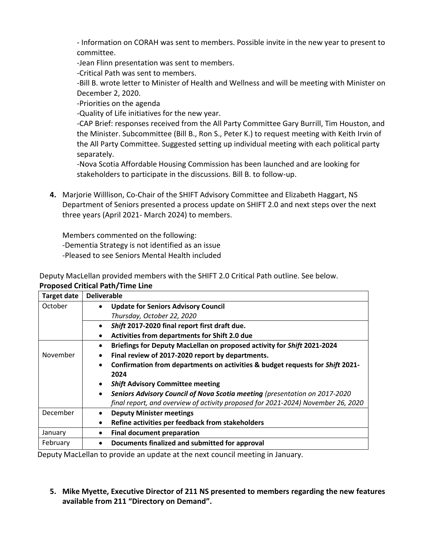- Information on CORAH was sent to members. Possible invite in the new year to present to committee.

-Jean Flinn presentation was sent to members.

-Critical Path was sent to members.

-Bill B. wrote letter to Minister of Health and Wellness and will be meeting with Minister on December 2, 2020.

-Priorities on the agenda

-Quality of Life initiatives for the new year.

-CAP Brief: responses received from the All Party Committee Gary Burrill, Tim Houston, and the Minister. Subcommittee (Bill B., Ron S., Peter K.) to request meeting with Keith Irvin of the All Party Committee. Suggested setting up individual meeting with each political party separately.

-Nova Scotia Affordable Housing Commission has been launched and are looking for stakeholders to participate in the discussions. Bill B. to follow-up.

**4.** Marjorie Willlison, Co-Chair of the SHIFT Advisory Committee and Elizabeth Haggart, NS Department of Seniors presented a process update on SHIFT 2.0 and next steps over the next three years (April 2021- March 2024) to members.

Members commented on the following: -Dementia Strategy is not identified as an issue -Pleased to see Seniors Mental Health included

Deputy MacLellan provided members with the SHIFT 2.0 Critical Path outline. See below. **Proposed Critical Path/Time Line** 

| <b>Target date</b> | <b>Deliverable</b>                                                                      |  |  |
|--------------------|-----------------------------------------------------------------------------------------|--|--|
| October            | <b>Update for Seniors Advisory Council</b><br>$\bullet$                                 |  |  |
|                    | Thursday, October 22, 2020                                                              |  |  |
|                    | Shift 2017-2020 final report first draft due.<br>$\bullet$                              |  |  |
|                    | Activities from departments for Shift 2.0 due                                           |  |  |
|                    | Briefings for Deputy MacLellan on proposed activity for Shift 2021-2024<br>$\bullet$    |  |  |
| November           | Final review of 2017-2020 report by departments.<br>$\bullet$                           |  |  |
|                    | Confirmation from departments on activities & budget requests for Shift 2021-           |  |  |
|                    | 2024                                                                                    |  |  |
|                    | <b>Shift Advisory Committee meeting</b>                                                 |  |  |
|                    | Seniors Advisory Council of Nova Scotia meeting (presentation on 2017-2020<br>$\bullet$ |  |  |
|                    | final report, and overview of activity proposed for 2021-2024) November 26, 2020        |  |  |
| December           | <b>Deputy Minister meetings</b>                                                         |  |  |
|                    | Refine activities per feedback from stakeholders<br>٠                                   |  |  |
| January            | <b>Final document preparation</b><br>٠                                                  |  |  |
| February           | Documents finalized and submitted for approval                                          |  |  |

Deputy MacLellan to provide an update at the next council meeting in January.

**5. Mike Myette, Executive Director of 211 NS presented to members regarding the new features available from 211 "Directory on Demand".**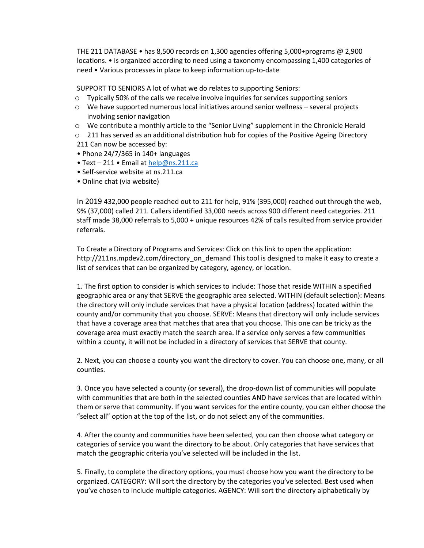THE 211 DATABASE • has 8,500 records on 1,300 agencies offering 5,000+programs @ 2,900 locations. • is organized according to need using a taxonomy encompassing 1,400 categories of need • Various processes in place to keep information up-to-date

SUPPORT TO SENIORS A lot of what we do relates to supporting Seniors:

- o Typically 50% of the calls we receive involve inquiries for services supporting seniors
- $\circ$  We have supported numerous local initiatives around senior wellness several projects involving senior navigation
- o We contribute a monthly article to the "Senior Living" supplement in the Chronicle Herald
- $\circ$  211 has served as an additional distribution hub for copies of the Positive Ageing Directory 211 Can now be accessed by:
- Phone  $24/7/365$  in 140+ languages
- Text 211 Email at [help@ns.211.ca](mailto:help@ns.211.ca)
- Self-service website at ns.211.ca
- Online chat (via website)

In 2019 432,000 people reached out to 211 for help, 91% (395,000) reached out through the web, 9% (37,000) called 211. Callers identified 33,000 needs across 900 different need categories. 211 staff made 38,000 referrals to 5,000 + unique resources 42% of calls resulted from service provider referrals.

To Create a Directory of Programs and Services: Click on this link to open the application: http://211ns.mpdev2.com/directory\_on\_demand This tool is designed to make it easy to create a list of services that can be organized by category, agency, or location.

1. The first option to consider is which services to include: Those that reside WITHIN a specified geographic area or any that SERVE the geographic area selected. WITHIN (default selection): Means the directory will only include services that have a physical location (address) located within the county and/or community that you choose. SERVE: Means that directory will only include services that have a coverage area that matches that area that you choose. This one can be tricky as the coverage area must exactly match the search area. If a service only serves a few communities within a county, it will not be included in a directory of services that SERVE that county.

2. Next, you can choose a county you want the directory to cover. You can choose one, many, or all counties.

3. Once you have selected a county (or several), the drop-down list of communities will populate with communities that are both in the selected counties AND have services that are located within them or serve that community. If you want services for the entire county, you can either choose the "select all" option at the top of the list, or do not select any of the communities.

4. After the county and communities have been selected, you can then choose what category or categories of service you want the directory to be about. Only categories that have services that match the geographic criteria you've selected will be included in the list.

5. Finally, to complete the directory options, you must choose how you want the directory to be organized. CATEGORY: Will sort the directory by the categories you've selected. Best used when you've chosen to include multiple categories. AGENCY: Will sort the directory alphabetically by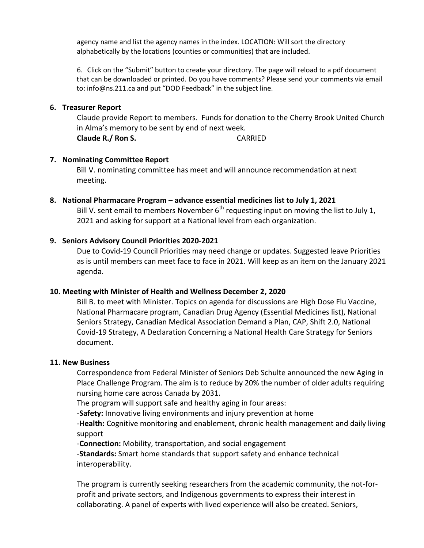agency name and list the agency names in the index. LOCATION: Will sort the directory alphabetically by the locations (counties or communities) that are included.

6. Click on the "Submit" button to create your directory. The page will reload to a pdf document that can be downloaded or printed. Do you have comments? Please send your comments via email to: info@ns.211.ca and put "DOD Feedback" in the subject line.

#### **6. Treasurer Report**

Claude provide Report to members. Funds for donation to the Cherry Brook United Church in Alma's memory to be sent by end of next week. **Claude R./ Ron S.** CARRIED

#### **7. Nominating Committee Report**

Bill V. nominating committee has meet and will announce recommendation at next meeting.

# **8. National Pharmacare Program – advance essential medicines list to July 1, 2021**

Bill V. sent email to members November  $6<sup>th</sup>$  requesting input on moving the list to July 1, 2021 and asking for support at a National level from each organization.

#### **9. Seniors Advisory Council Priorities 2020-2021**

Due to Covid-19 Council Priorities may need change or updates. Suggested leave Priorities as is until members can meet face to face in 2021. Will keep as an item on the January 2021 agenda.

#### **10. Meeting with Minister of Health and Wellness December 2, 2020**

Bill B. to meet with Minister. Topics on agenda for discussions are High Dose Flu Vaccine, National Pharmacare program, Canadian Drug Agency (Essential Medicines list), National Seniors Strategy, Canadian Medical Association Demand a Plan, CAP, Shift 2.0, National Covid-19 Strategy, A Declaration Concerning a National Health Care Strategy for Seniors document.

#### **11. New Business**

Correspondence from Federal Minister of Seniors Deb Schulte announced the new Aging in Place Challenge Program. The aim is to reduce by 20% the number of older adults requiring nursing home care across Canada by 2031.

The program will support safe and healthy aging in four areas:

-**Safety:** Innovative living environments and injury prevention at home

-**Health:** Cognitive monitoring and enablement, chronic health management and daily living support

-**Connection:** Mobility, transportation, and social engagement

-**Standards:** Smart home standards that support safety and enhance technical interoperability.

The program is currently seeking researchers from the academic community, the not-forprofit and private sectors, and Indigenous governments to express their interest in collaborating. A panel of experts with lived experience will also be created. Seniors,